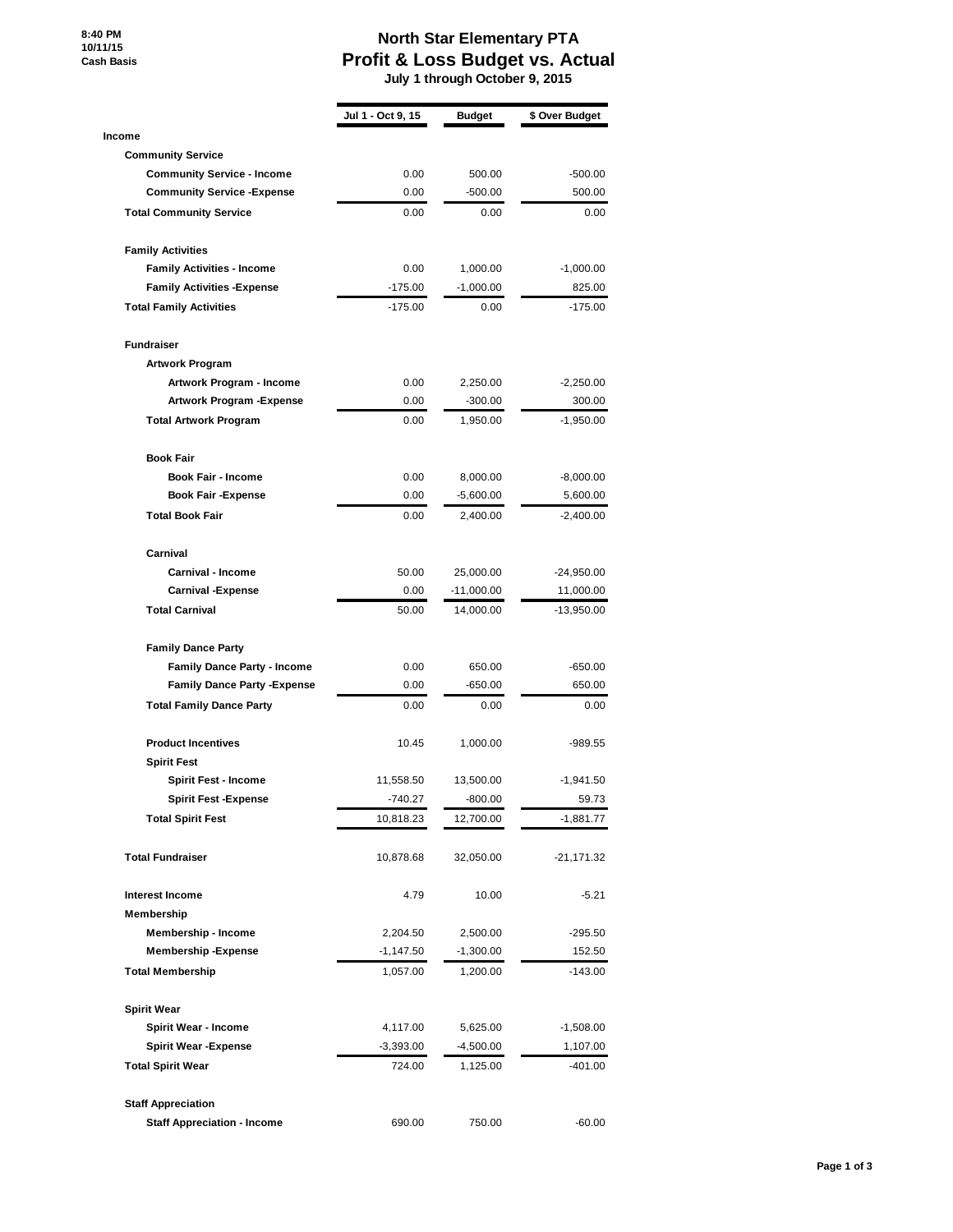**8:40 PM 10/11/15 Cash Basis**

## **North Star Elementary PTA Profit & Loss Budget vs. Actual**

 **July 1 through October 9, 2015**

|                                     | Jul 1 - Oct 9, 15 | <b>Budget</b> | \$ Over Budget |
|-------------------------------------|-------------------|---------------|----------------|
| <b>Income</b>                       |                   |               |                |
| <b>Community Service</b>            |                   |               |                |
| <b>Community Service - Income</b>   | 0.00              | 500.00        | $-500.00$      |
| <b>Community Service - Expense</b>  | 0.00              | $-500.00$     | 500.00         |
| <b>Total Community Service</b>      | 0.00              | 0.00          | 0.00           |
| <b>Family Activities</b>            |                   |               |                |
| <b>Family Activities - Income</b>   | 0.00              | 1,000.00      | $-1,000.00$    |
| <b>Family Activities - Expense</b>  | $-175.00$         | $-1,000.00$   | 825.00         |
| <b>Total Family Activities</b>      | $-175.00$         | 0.00          | $-175.00$      |
| <b>Fundraiser</b>                   |                   |               |                |
| <b>Artwork Program</b>              |                   |               |                |
| Artwork Program - Income            | 0.00              | 2,250.00      | $-2,250.00$    |
| <b>Artwork Program - Expense</b>    | 0.00              | $-300.00$     | 300.00         |
| <b>Total Artwork Program</b>        | 0.00              | 1,950.00      | $-1,950.00$    |
| <b>Book Fair</b>                    |                   |               |                |
| <b>Book Fair - Income</b>           | 0.00              | 8,000.00      | $-8,000.00$    |
| <b>Book Fair -Expense</b>           | 0.00              | $-5,600.00$   | 5,600.00       |
| <b>Total Book Fair</b>              | 0.00              | 2,400.00      | $-2,400.00$    |
| Carnival                            |                   |               |                |
| Carnival - Income                   | 50.00             | 25,000.00     | $-24,950.00$   |
| <b>Carnival -Expense</b>            | 0.00              | $-11,000.00$  | 11,000.00      |
| <b>Total Carnival</b>               | 50.00             | 14,000.00     | -13,950.00     |
| <b>Family Dance Party</b>           |                   |               |                |
| <b>Family Dance Party - Income</b>  | 0.00              | 650.00        | $-650.00$      |
| <b>Family Dance Party - Expense</b> | 0.00              | -650.00       | 650.00         |
| <b>Total Family Dance Party</b>     | 0.00              | 0.00          | 0.00           |
| <b>Product Incentives</b>           | 10.45             | 1,000.00      | $-989.55$      |
| <b>Spirit Fest</b>                  |                   |               |                |
| <b>Spirit Fest - Income</b>         | 11,558.50         | 13,500.00     | $-1,941.50$    |
| <b>Spirit Fest -Expense</b>         | -740.27           | -800.00       | 59.73          |
| <b>Total Spirit Fest</b>            | 10,818.23         | 12,700.00     | $-1,881.77$    |
| <b>Total Fundraiser</b>             | 10,878.68         | 32,050.00     | -21,171.32     |
| <b>Interest Income</b>              | 4.79              | 10.00         | $-5.21$        |
| Membership                          |                   |               |                |
| <b>Membership - Income</b>          | 2,204.50          | 2,500.00      | -295.50        |
| <b>Membership-Expense</b>           | $-1,147.50$       | $-1,300.00$   | 152.50         |
| <b>Total Membership</b>             | 1,057.00          | 1,200.00      | $-143.00$      |
| <b>Spirit Wear</b>                  |                   |               |                |
| <b>Spirit Wear - Income</b>         | 4,117.00          | 5,625.00      | $-1,508.00$    |
| <b>Spirit Wear -Expense</b>         | $-3,393.00$       | $-4,500.00$   | 1,107.00       |
| <b>Total Spirit Wear</b>            | 724.00            | 1,125.00      | -401.00        |
| <b>Staff Appreciation</b>           |                   |               |                |
| <b>Staff Appreciation - Income</b>  | 690.00            | 750.00        | $-60.00$       |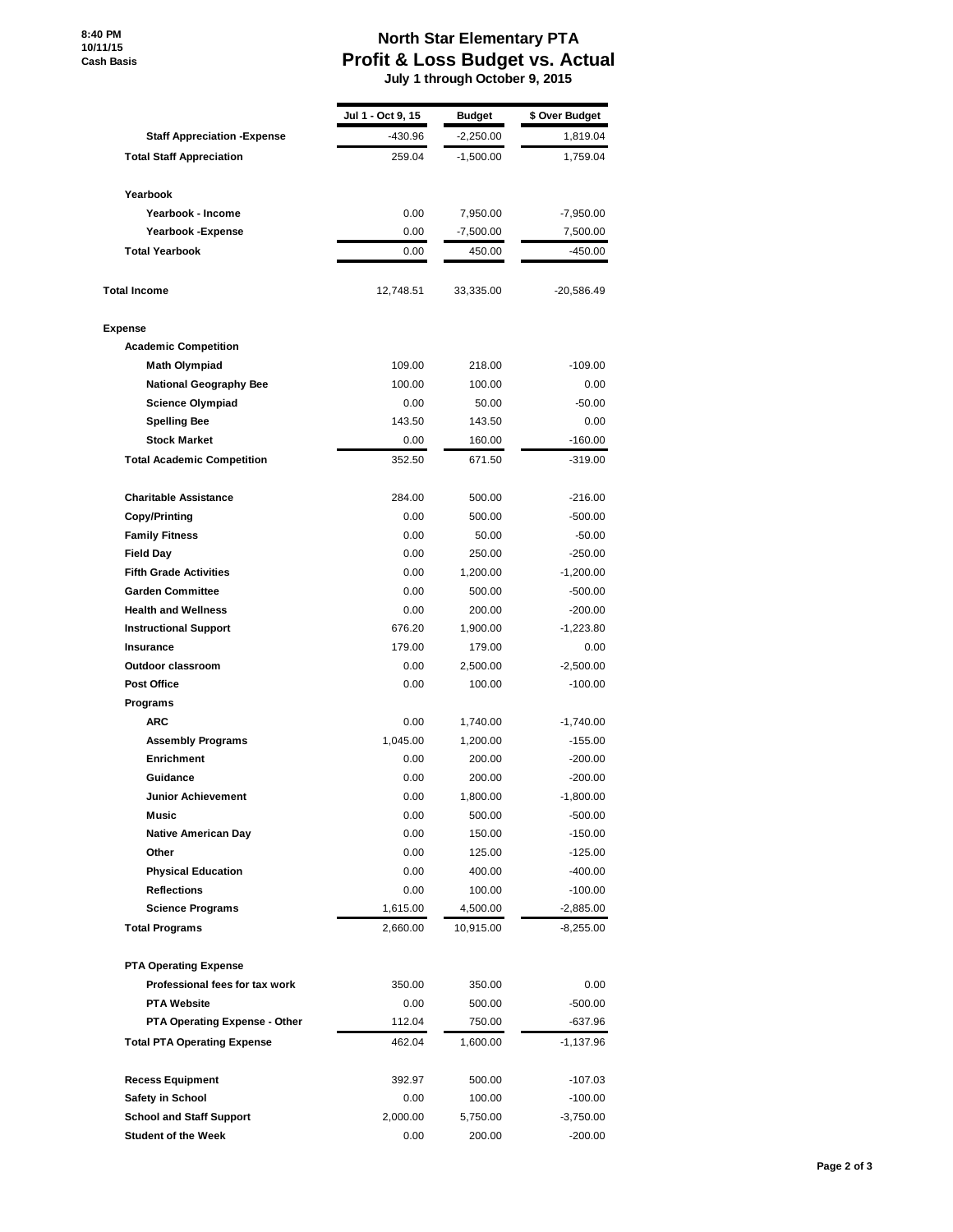**8:40 PM 10/11/15 Cash Basis**

## **North Star Elementary PTA Profit & Loss Budget vs. Actual**

 **July 1 through October 9, 2015**

|                                     | Jul 1 - Oct 9, 15 | <b>Budget</b> | \$ Over Budget |
|-------------------------------------|-------------------|---------------|----------------|
| <b>Staff Appreciation - Expense</b> | -430.96           | $-2,250.00$   | 1,819.04       |
| <b>Total Staff Appreciation</b>     | 259.04            | $-1,500.00$   | 1,759.04       |
|                                     |                   |               |                |
| Yearbook                            |                   |               |                |
| Yearbook - Income                   | 0.00              | 7,950.00      | $-7,950.00$    |
| Yearbook - Expense                  | 0.00              | -7,500.00     | 7,500.00       |
| <b>Total Yearbook</b>               | 0.00              | 450.00        | -450.00        |
| <b>Total Income</b>                 | 12,748.51         | 33,335.00     | $-20,586.49$   |
| Expense                             |                   |               |                |
| <b>Academic Competition</b>         |                   |               |                |
| <b>Math Olympiad</b>                | 109.00            | 218.00        | $-109.00$      |
| <b>National Geography Bee</b>       | 100.00            | 100.00        | 0.00           |
| <b>Science Olympiad</b>             | 0.00              | 50.00         | $-50.00$       |
| <b>Spelling Bee</b>                 | 143.50            | 143.50        | 0.00           |
| <b>Stock Market</b>                 | 0.00              | 160.00        | $-160.00$      |
| <b>Total Academic Competition</b>   | 352.50            | 671.50        | $-319.00$      |
| <b>Charitable Assistance</b>        | 284.00            | 500.00        | $-216.00$      |
| Copy/Printing                       | 0.00              | 500.00        | $-500.00$      |
| <b>Family Fitness</b>               | 0.00              | 50.00         | $-50.00$       |
| <b>Field Day</b>                    | 0.00              | 250.00        | $-250.00$      |
| <b>Fifth Grade Activities</b>       | 0.00              | 1,200.00      | $-1,200.00$    |
| <b>Garden Committee</b>             | 0.00              | 500.00        | -500.00        |
| <b>Health and Wellness</b>          | 0.00              | 200.00        | -200.00        |
| <b>Instructional Support</b>        | 676.20            | 1,900.00      | $-1,223.80$    |
| Insurance                           | 179.00            | 179.00        | 0.00           |
| Outdoor classroom                   | 0.00              | 2,500.00      | $-2,500.00$    |
| <b>Post Office</b>                  | 0.00              | 100.00        | $-100.00$      |
| Programs                            |                   |               |                |
| <b>ARC</b>                          | 0.00              | 1,740.00      | $-1,740.00$    |
| <b>Assembly Programs</b>            | 1,045.00          | 1,200.00      | $-155.00$      |
| <b>Enrichment</b>                   | 0.00              | 200.00        | -200.00        |
| Guidance                            | 0.00              | 200.00        | -200.00        |
| <b>Junior Achievement</b>           | 0.00              | 1,800.00      | $-1,800.00$    |
| Music                               | 0.00              | 500.00        | $-500.00$      |
| <b>Native American Day</b>          | 0.00              | 150.00        | $-150.00$      |
| Other                               | 0.00              | 125.00        | $-125.00$      |
| <b>Physical Education</b>           | 0.00              | 400.00        | -400.00        |
| <b>Reflections</b>                  | 0.00              | 100.00        | $-100.00$      |
| <b>Science Programs</b>             | 1,615.00          | 4,500.00      | -2,885.00      |
| <b>Total Programs</b>               | 2,660.00          | 10,915.00     | -8,255.00      |
| <b>PTA Operating Expense</b>        |                   |               |                |
| Professional fees for tax work      | 350.00            | 350.00        | 0.00           |
| <b>PTA Website</b>                  | 0.00              | 500.00        | -500.00        |
| PTA Operating Expense - Other       | 112.04            | 750.00        | -637.96        |
| <b>Total PTA Operating Expense</b>  | 462.04            | 1,600.00      | $-1,137.96$    |
| <b>Recess Equipment</b>             | 392.97            | 500.00        | $-107.03$      |
| <b>Safety in School</b>             | 0.00              | 100.00        | $-100.00$      |
| <b>School and Staff Support</b>     | 2,000.00          | 5,750.00      | $-3,750.00$    |
| <b>Student of the Week</b>          | 0.00              | 200.00        | $-200.00$      |